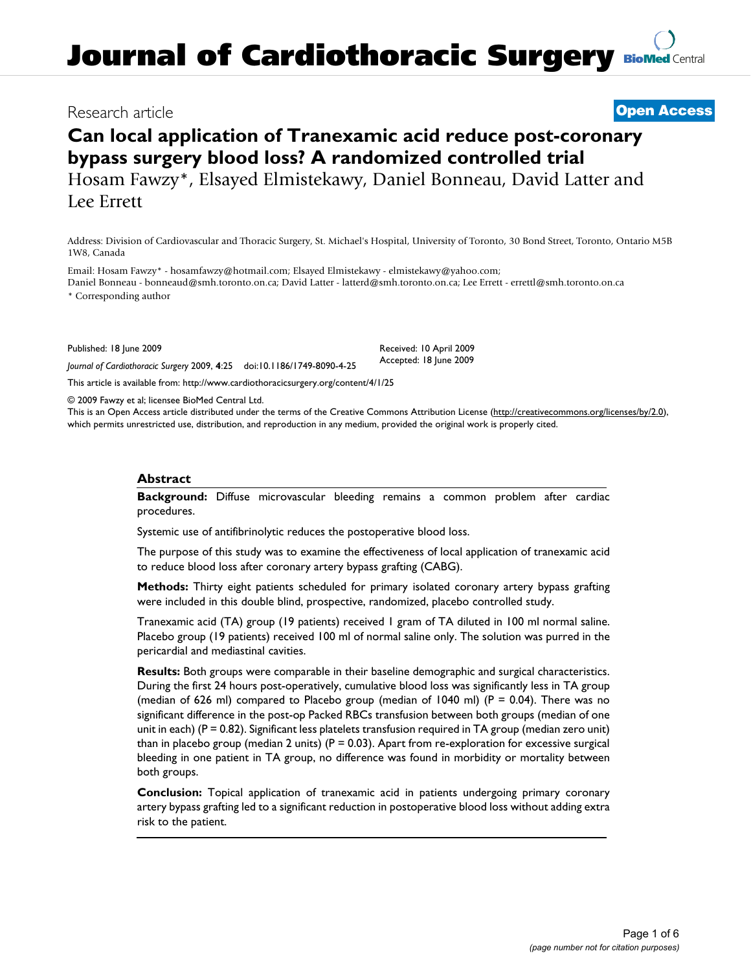# **Journal of Cardiothoracic Surgery [BioMed](http://www.biomedcentral.com/) Central**

### Research article **[Open Access](http://www.biomedcentral.com/info/about/charter/)**

## **Can local application of Tranexamic acid reduce post-coronary bypass surgery blood loss? A randomized controlled trial** Hosam Fawzy\*, Elsayed Elmistekawy, Daniel Bonneau, David Latter and Lee Errett

Address: Division of Cardiovascular and Thoracic Surgery, St. Michael's Hospital, University of Toronto, 30 Bond Street, Toronto, Ontario M5B 1W8, Canada

Email: Hosam Fawzy\* - hosamfawzy@hotmail.com; Elsayed Elmistekawy - elmistekawy@yahoo.com;

Daniel Bonneau - bonneaud@smh.toronto.on.ca; David Latter - latterd@smh.toronto.on.ca; Lee Errett - errettl@smh.toronto.on.ca

\* Corresponding author

Published: 18 June 2009

*Journal of Cardiothoracic Surgery* 2009, **4**:25 doi:10.1186/1749-8090-4-25

[This article is available from: http://www.cardiothoracicsurgery.org/content/4/1/25](http://www.cardiothoracicsurgery.org/content/4/1/25)

© 2009 Fawzy et al; licensee BioMed Central Ltd.

This is an Open Access article distributed under the terms of the Creative Commons Attribution License [\(http://creativecommons.org/licenses/by/2.0\)](http://creativecommons.org/licenses/by/2.0), which permits unrestricted use, distribution, and reproduction in any medium, provided the original work is properly cited.

Received: 10 April 2009 Accepted: 18 June 2009

#### **Abstract**

**Background:** Diffuse microvascular bleeding remains a common problem after cardiac procedures.

Systemic use of antifibrinolytic reduces the postoperative blood loss.

The purpose of this study was to examine the effectiveness of local application of tranexamic acid to reduce blood loss after coronary artery bypass grafting (CABG).

**Methods:** Thirty eight patients scheduled for primary isolated coronary artery bypass grafting were included in this double blind, prospective, randomized, placebo controlled study.

Tranexamic acid (TA) group (19 patients) received 1 gram of TA diluted in 100 ml normal saline. Placebo group (19 patients) received 100 ml of normal saline only. The solution was purred in the pericardial and mediastinal cavities.

**Results:** Both groups were comparable in their baseline demographic and surgical characteristics. During the first 24 hours post-operatively, cumulative blood loss was significantly less in TA group (median of 626 ml) compared to Placebo group (median of 1040 ml) (P = 0.04). There was no significant difference in the post-op Packed RBCs transfusion between both groups (median of one unit in each) (P = 0.82). Significant less platelets transfusion required in TA group (median zero unit) than in placebo group (median 2 units)  $(P = 0.03)$ . Apart from re-exploration for excessive surgical bleeding in one patient in TA group, no difference was found in morbidity or mortality between both groups.

**Conclusion:** Topical application of tranexamic acid in patients undergoing primary coronary artery bypass grafting led to a significant reduction in postoperative blood loss without adding extra risk to the patient.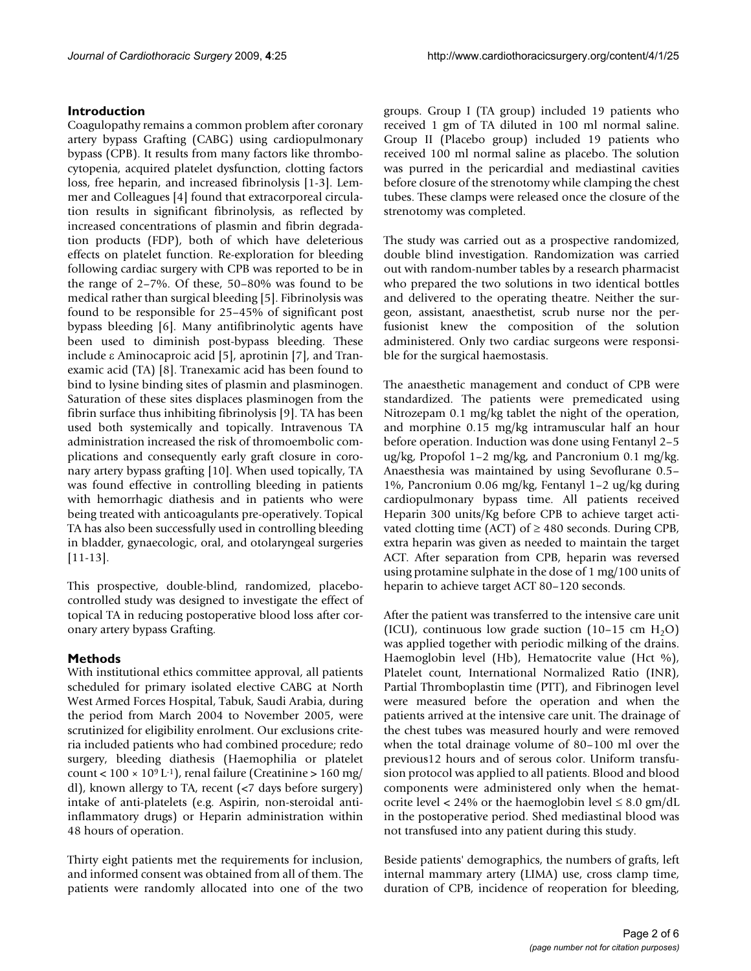#### **Introduction**

Coagulopathy remains a common problem after coronary artery bypass Grafting (CABG) using cardiopulmonary bypass (CPB). It results from many factors like thrombocytopenia, acquired platelet dysfunction, clotting factors loss, free heparin, and increased fibrinolysis [1-3]. Lemmer and Colleagues [4] found that extracorporeal circulation results in significant fibrinolysis, as reflected by increased concentrations of plasmin and fibrin degradation products (FDP), both of which have deleterious effects on platelet function. Re-exploration for bleeding following cardiac surgery with CPB was reported to be in the range of 2–7%. Of these, 50–80% was found to be medical rather than surgical bleeding [5]. Fibrinolysis was found to be responsible for 25–45% of significant post bypass bleeding [6]. Many antifibrinolytic agents have been used to diminish post-bypass bleeding. These include ε Aminocaproic acid [5], aprotinin [7], and Tranexamic acid (TA) [8]. Tranexamic acid has been found to bind to lysine binding sites of plasmin and plasminogen. Saturation of these sites displaces plasminogen from the fibrin surface thus inhibiting fibrinolysis [9]. TA has been used both systemically and topically. Intravenous TA administration increased the risk of thromoembolic complications and consequently early graft closure in coronary artery bypass grafting [10]. When used topically, TA was found effective in controlling bleeding in patients with hemorrhagic diathesis and in patients who were being treated with anticoagulants pre-operatively. Topical TA has also been successfully used in controlling bleeding in bladder, gynaecologic, oral, and otolaryngeal surgeries [11-13].

This prospective, double-blind, randomized, placebocontrolled study was designed to investigate the effect of topical TA in reducing postoperative blood loss after coronary artery bypass Grafting.

#### **Methods**

With institutional ethics committee approval, all patients scheduled for primary isolated elective CABG at North West Armed Forces Hospital, Tabuk, Saudi Arabia, during the period from March 2004 to November 2005, were scrutinized for eligibility enrolment. Our exclusions criteria included patients who had combined procedure; redo surgery, bleeding diathesis (Haemophilia or platelet count <  $100 \times 10^9$  L<sup>-1</sup>), renal failure (Creatinine >  $160$  mg/ dl), known allergy to TA, recent (<7 days before surgery) intake of anti-platelets (e.g. Aspirin, non-steroidal antiinflammatory drugs) or Heparin administration within 48 hours of operation.

Thirty eight patients met the requirements for inclusion, and informed consent was obtained from all of them. The patients were randomly allocated into one of the two

groups. Group I (TA group) included 19 patients who received 1 gm of TA diluted in 100 ml normal saline. Group II (Placebo group) included 19 patients who received 100 ml normal saline as placebo. The solution was purred in the pericardial and mediastinal cavities before closure of the strenotomy while clamping the chest tubes. These clamps were released once the closure of the strenotomy was completed.

The study was carried out as a prospective randomized, double blind investigation. Randomization was carried out with random-number tables by a research pharmacist who prepared the two solutions in two identical bottles and delivered to the operating theatre. Neither the surgeon, assistant, anaesthetist, scrub nurse nor the perfusionist knew the composition of the solution administered. Only two cardiac surgeons were responsible for the surgical haemostasis.

The anaesthetic management and conduct of CPB were standardized. The patients were premedicated using Nitrozepam 0.1 mg/kg tablet the night of the operation, and morphine 0.15 mg/kg intramuscular half an hour before operation. Induction was done using Fentanyl 2–5 ug/kg, Propofol 1–2 mg/kg, and Pancronium 0.1 mg/kg. Anaesthesia was maintained by using Sevoflurane 0.5– 1%, Pancronium 0.06 mg/kg, Fentanyl 1–2 ug/kg during cardiopulmonary bypass time. All patients received Heparin 300 units/Kg before CPB to achieve target activated clotting time (ACT) of  $\geq$  480 seconds. During CPB, extra heparin was given as needed to maintain the target ACT. After separation from CPB, heparin was reversed using protamine sulphate in the dose of 1 mg/100 units of heparin to achieve target ACT 80–120 seconds.

After the patient was transferred to the intensive care unit (ICU), continuous low grade suction  $(10-15 \text{ cm H}_2O)$ was applied together with periodic milking of the drains. Haemoglobin level (Hb), Hematocrite value (Hct %), Platelet count, International Normalized Ratio (INR), Partial Thromboplastin time (PTT), and Fibrinogen level were measured before the operation and when the patients arrived at the intensive care unit. The drainage of the chest tubes was measured hourly and were removed when the total drainage volume of 80–100 ml over the previous12 hours and of serous color. Uniform transfusion protocol was applied to all patients. Blood and blood components were administered only when the hematocrite level <  $24\%$  or the haemoglobin level  $\leq 8.0$  gm/dL in the postoperative period. Shed mediastinal blood was not transfused into any patient during this study.

Beside patients' demographics, the numbers of grafts, left internal mammary artery (LIMA) use, cross clamp time, duration of CPB, incidence of reoperation for bleeding,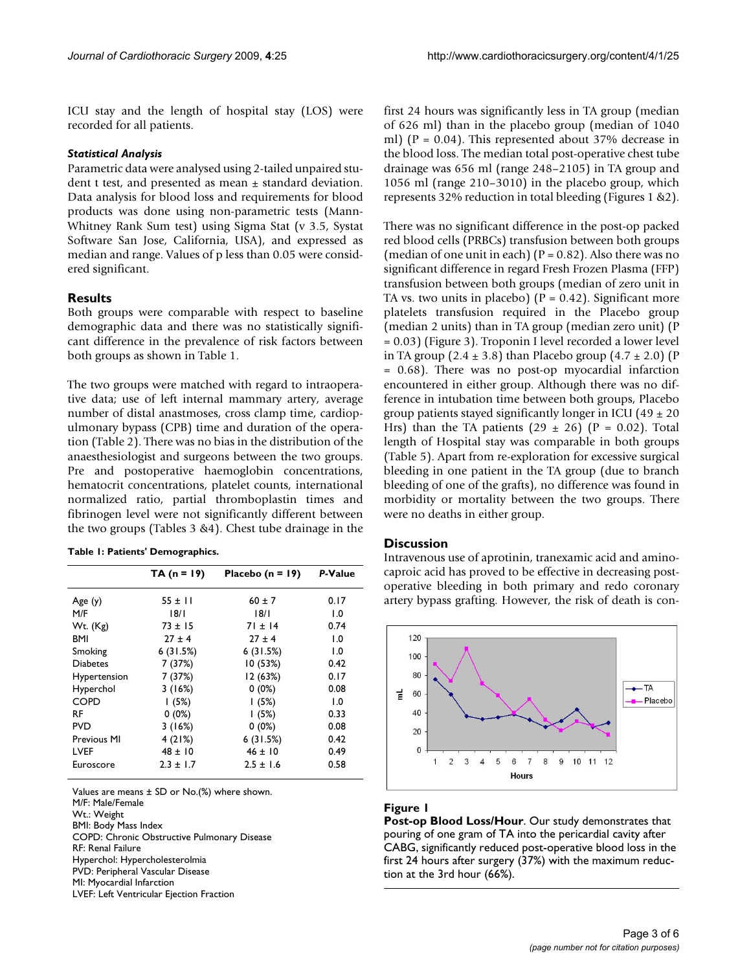ICU stay and the length of hospital stay (LOS) were recorded for all patients.

#### *Statistical Analysis*

Parametric data were analysed using 2-tailed unpaired student t test, and presented as mean ± standard deviation. Data analysis for blood loss and requirements for blood products was done using non-parametric tests (Mann-Whitney Rank Sum test) using Sigma Stat (v 3.5, Systat Software San Jose, California, USA), and expressed as median and range. Values of p less than 0.05 were considered significant.

#### **Results**

Both groups were comparable with respect to baseline demographic data and there was no statistically significant difference in the prevalence of risk factors between both groups as shown in Table 1.

The two groups were matched with regard to intraoperative data; use of left internal mammary artery, average number of distal anastmoses, cross clamp time, cardiopulmonary bypass (CPB) time and duration of the operation (Table 2). There was no bias in the distribution of the anaesthesiologist and surgeons between the two groups. Pre and postoperative haemoglobin concentrations, hematocrit concentrations, platelet counts, international normalized ratio, partial thromboplastin times and fibrinogen level were not significantly different between the two groups (Tables 3 &4). Chest tube drainage in the

| Table 1: Patients' Demographics. |  |
|----------------------------------|--|
|----------------------------------|--|

|                     | $TA (n = 19)$ | Placebo $(n = 19)$ | P-Value          |
|---------------------|---------------|--------------------|------------------|
| Age(y)              | $55 \pm 11$   | $60 \pm 7$         | 0.17             |
| M/F                 | 18/1          | 8/1                | $\mathbf{0}$ . I |
| $Wt.$ (Kg)          | $73 \pm 15$   | $71 \pm 14$        | 0.74             |
| BMI                 | $27 \pm 4$    | $27 \pm 4$         | $\mathbf{0}$ . I |
| Smoking             | 6(31.5%)      | 6(31.5%)           | 1.0              |
| <b>Diabetes</b>     | 7(37%)        | 10(53%)            | 0.42             |
| <b>Hypertension</b> | 7(37%)        | 12 (63%)           | 0.17             |
| Hyperchol           | 3(16%)        | $0(0\%)$           | 0.08             |
| <b>COPD</b>         | 1(5%)         | 1(5%)              | 1.0              |
| RF                  | $0(0\%)$      | 1(5%)              | 0.33             |
| <b>PVD</b>          | 3(16%)        | $0(0\%)$           | 0.08             |
| Previous MI         | 4(21%)        | 6(31.5%)           | 0.42             |
| LVEF                | $48 \pm 10$   | $46 \pm 10$        | 0.49             |
| Euroscore           | $2.3 \pm 1.7$ | $2.5 \pm 1.6$      | 0.58             |

Values are means ± SD or No.(%) where shown. M/F: Male/Female

Wt.: Weight

BMI: Body Mass Index

COPD: Chronic Obstructive Pulmonary Disease

RF: Renal Failure

Hyperchol: Hypercholesterolmia

PVD: Peripheral Vascular Disease MI: Myocardial Infarction

LVEF: Left Ventricular Ejection Fraction

first 24 hours was significantly less in TA group (median of 626 ml) than in the placebo group (median of 1040 ml) ( $P = 0.04$ ). This represented about 37% decrease in the blood loss. The median total post-operative chest tube drainage was 656 ml (range 248–2105) in TA group and 1056 ml (range 210–3010) in the placebo group, which represents 32% reduction in total bleeding (Figures 1 &2).

There was no significant difference in the post-op packed red blood cells (PRBCs) transfusion between both groups (median of one unit in each) ( $P = 0.82$ ). Also there was no significant difference in regard Fresh Frozen Plasma (FFP) transfusion between both groups (median of zero unit in TA vs. two units in placebo) ( $P = 0.42$ ). Significant more platelets transfusion required in the Placebo group (median 2 units) than in TA group (median zero unit) (P = 0.03) (Figure 3). Troponin I level recorded a lower level in TA group  $(2.4 \pm 3.8)$  than Placebo group  $(4.7 \pm 2.0)$  (P = 0.68). There was no post-op myocardial infarction encountered in either group. Although there was no difference in intubation time between both groups, Placebo group patients stayed significantly longer in ICU (49  $\pm$  20 Hrs) than the TA patients  $(29 \pm 26)$  (P = 0.02). Total length of Hospital stay was comparable in both groups (Table 5). Apart from re-exploration for excessive surgical bleeding in one patient in the TA group (due to branch bleeding of one of the grafts), no difference was found in morbidity or mortality between the two groups. There were no deaths in either group.

#### **Discussion**

Intravenous use of aprotinin, tranexamic acid and aminocaproic acid has proved to be effective in decreasing postoperative bleeding in both primary and redo coronary artery bypass grafting. However, the risk of death is con-



#### **Figure 1**

**Post-op Blood Loss/Hour**. Our study demonstrates that pouring of one gram of TA into the pericardial cavity after CABG, significantly reduced post-operative blood loss in the first 24 hours after surgery (37%) with the maximum reduction at the 3rd hour (66%).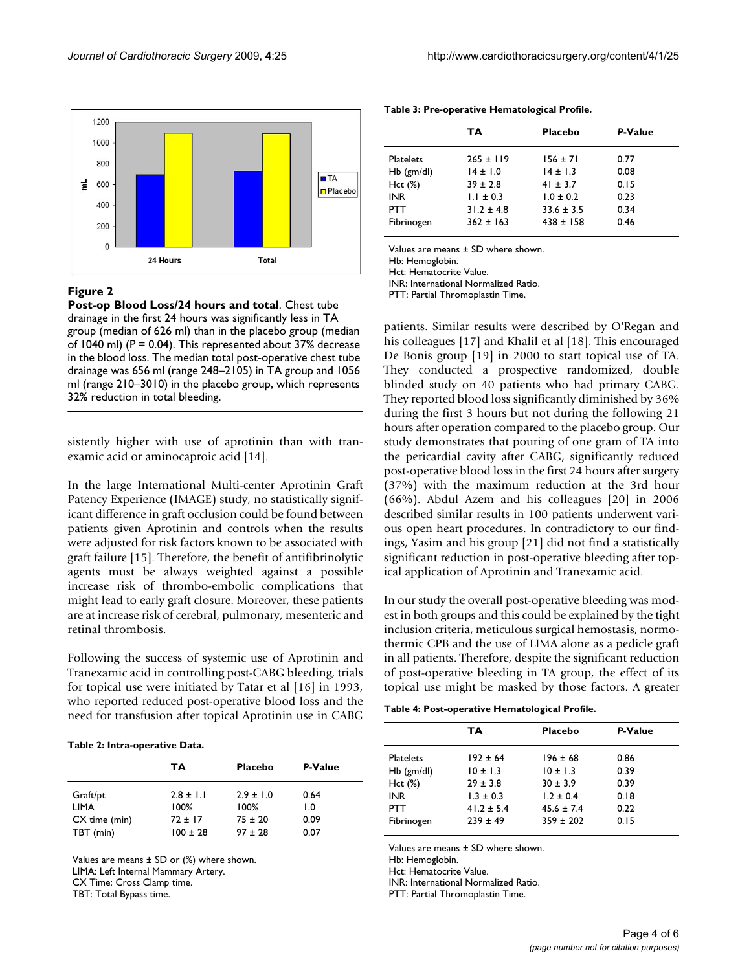

#### **Figure 2**

**Post-op Blood Loss/24 hours and total**. Chest tube drainage in the first 24 hours was significantly less in TA group (median of 626 ml) than in the placebo group (median of 1040 ml) ( $P = 0.04$ ). This represented about 37% decrease in the blood loss. The median total post-operative chest tube drainage was 656 ml (range 248–2105) in TA group and 1056 ml (range 210–3010) in the placebo group, which represents 32% reduction in total bleeding.

sistently higher with use of aprotinin than with tranexamic acid or aminocaproic acid [14].

In the large International Multi-center Aprotinin Graft Patency Experience (IMAGE) study, no statistically significant difference in graft occlusion could be found between patients given Aprotinin and controls when the results were adjusted for risk factors known to be associated with graft failure [15]. Therefore, the benefit of antifibrinolytic agents must be always weighted against a possible increase risk of thrombo-embolic complications that might lead to early graft closure. Moreover, these patients are at increase risk of cerebral, pulmonary, mesenteric and retinal thrombosis.

Following the success of systemic use of Aprotinin and Tranexamic acid in controlling post-CABG bleeding, trials for topical use were initiated by Tatar et al [16] in 1993, who reported reduced post-operative blood loss and the need for transfusion after topical Aprotinin use in CABG

**Table 2: Intra-operative Data.**

|                                                       | TА                                                 | <b>Placebo</b>                                         | P-Value                     |
|-------------------------------------------------------|----------------------------------------------------|--------------------------------------------------------|-----------------------------|
| Graft/pt<br><b>LIMA</b><br>CX time (min)<br>TBT (min) | $2.8 \pm 1.1$<br>100%<br>$72 + 17$<br>$100 \pm 28$ | $2.9 \pm 1.0$<br>$100\%$<br>$75 \pm 20$<br>$97 \pm 28$ | 0.64<br>1.0<br>0.09<br>0.07 |

Values are means  $\pm$  SD or (%) where shown. LIMA: Left Internal Mammary Artery. CX Time: Cross Clamp time.

TBT: Total Bypass time.

**Table 3: Pre-operative Hematological Profile.**

|                  | TA             | <b>Placebo</b> | P-Value |
|------------------|----------------|----------------|---------|
| <b>Platelets</b> | $265 \pm 119$  | $156 \pm 71$   | 0.77    |
| $Hb$ (gm/dl)     | $14 \pm 1.0$   | $14 \pm 1.3$   | 0.08    |
| Hct (%)          | $39 \pm 2.8$   | $41 \pm 3.7$   | 0.15    |
| <b>INR</b>       | $1.1 \pm 0.3$  | $1.0 \pm 0.2$  | 0.23    |
| <b>PTT</b>       | $31.2 \pm 4.8$ | $33.6 \pm 3.5$ | 0.34    |
| Fibrinogen       | $362 \pm 163$  | $438 \pm 158$  | 0.46    |

Values are means ± SD where shown.

Hb: Hemoglobin.

Hct: Hematocrite Value.

INR: International Normalized Ratio.

PTT: Partial Thromoplastin Time.

patients. Similar results were described by O'Regan and his colleagues [17] and Khalil et al [18]. This encouraged De Bonis group [19] in 2000 to start topical use of TA. They conducted a prospective randomized, double blinded study on 40 patients who had primary CABG. They reported blood loss significantly diminished by 36% during the first 3 hours but not during the following 21 hours after operation compared to the placebo group. Our study demonstrates that pouring of one gram of TA into the pericardial cavity after CABG, significantly reduced post-operative blood loss in the first 24 hours after surgery (37%) with the maximum reduction at the 3rd hour (66%). Abdul Azem and his colleagues [20] in 2006 described similar results in 100 patients underwent various open heart procedures. In contradictory to our findings, Yasim and his group [21] did not find a statistically significant reduction in post-operative bleeding after topical application of Aprotinin and Tranexamic acid.

In our study the overall post-operative bleeding was modest in both groups and this could be explained by the tight inclusion criteria, meticulous surgical hemostasis, normothermic CPB and the use of LIMA alone as a pedicle graft in all patients. Therefore, despite the significant reduction of post-operative bleeding in TA group, the effect of its topical use might be masked by those factors. A greater

**Table 4: Post-operative Hematological Profile.**

|                  | TA             | Placebo        | P-Value |
|------------------|----------------|----------------|---------|
| <b>Platelets</b> | $192 \pm 64$   | $196 \pm 68$   | 0.86    |
| $Hb$ (gm/dl)     | $10 + 1.3$     | $10 + 1.3$     | 0.39    |
| Hct (%)          | $29 \pm 3.8$   | $30 \pm 3.9$   | 0.39    |
| <b>INR</b>       | $1.3 \pm 0.3$  | $1.2 + 0.4$    | 0.18    |
| PTT              | $41.2 \pm 5.4$ | $45.6 \pm 7.4$ | 0.22    |
| Fibrinogen       | $239 + 49$     | $359 \pm 202$  | 0.15    |

Values are means ± SD where shown.

Hb: Hemoglobin.

Hct: Hematocrite Value.

INR: International Normalized Ratio.

PTT: Partial Thromoplastin Time.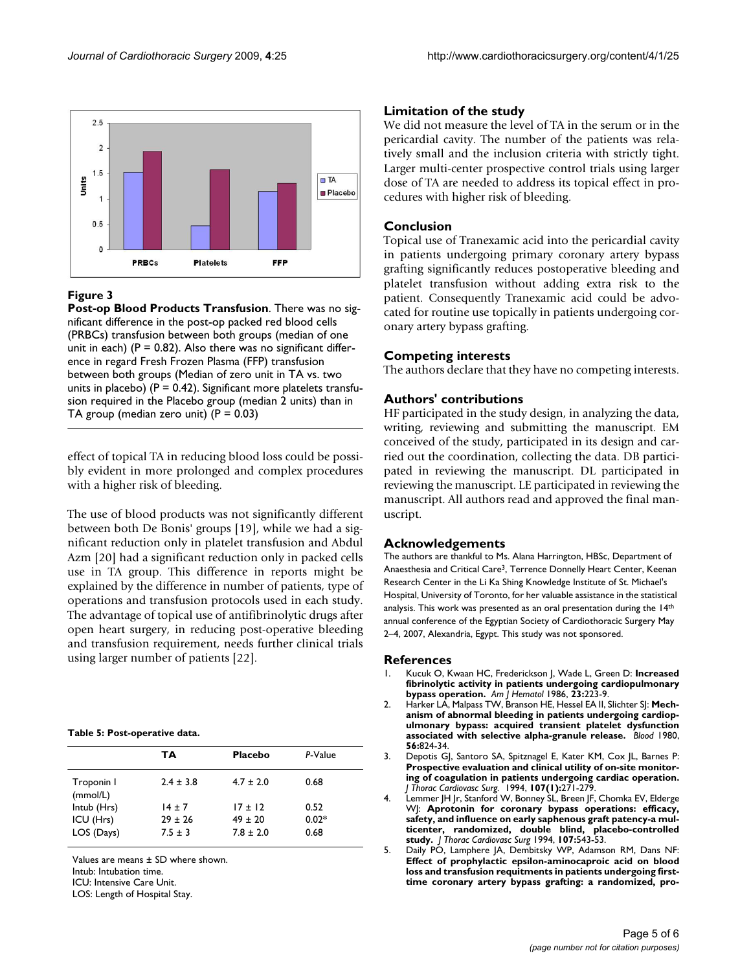

#### **Figure 3**

**Post-op Blood Products Transfusion**. There was no significant difference in the post-op packed red blood cells (PRBCs) transfusion between both groups (median of one unit in each) ( $P = 0.82$ ). Also there was no significant difference in regard Fresh Frozen Plasma (FFP) transfusion between both groups (Median of zero unit in TA vs. two units in placebo) ( $P = 0.42$ ). Significant more platelets transfusion required in the Placebo group (median 2 units) than in TA group (median zero unit)  $(P = 0.03)$ 

effect of topical TA in reducing blood loss could be possibly evident in more prolonged and complex procedures with a higher risk of bleeding.

The use of blood products was not significantly different between both De Bonis' groups [19], while we had a significant reduction only in platelet transfusion and Abdul Azm [20] had a significant reduction only in packed cells use in TA group. This difference in reports might be explained by the difference in number of patients, type of operations and transfusion protocols used in each study. The advantage of topical use of antifibrinolytic drugs after open heart surgery, in reducing post-operative bleeding and transfusion requirement, needs further clinical trials using larger number of patients [22].

#### **Table 5: Post-operative data.**

|                        | TA            | <b>Placebo</b> | P-Value |
|------------------------|---------------|----------------|---------|
| Troponin I<br>(mmol/L) | $2.4 \pm 3.8$ | $4.7 \pm 2.0$  | 0.68    |
| Intub (Hrs)            | $14 \pm 7$    | $17 \pm 12$    | 0.52    |
| ICU (Hrs)              | $29 \pm 26$   | $49 \pm 20$    | $0.02*$ |
| LOS (Days)             | $7.5 \pm 3$   | $7.8 \pm 2.0$  | 0.68    |

Values are means ± SD where shown. Intub: Intubation time.

ICU: Intensive Care Unit.

LOS: Length of Hospital Stay.

#### **Limitation of the study**

We did not measure the level of TA in the serum or in the pericardial cavity. The number of the patients was relatively small and the inclusion criteria with strictly tight. Larger multi-center prospective control trials using larger dose of TA are needed to address its topical effect in procedures with higher risk of bleeding.

#### **Conclusion**

Topical use of Tranexamic acid into the pericardial cavity in patients undergoing primary coronary artery bypass grafting significantly reduces postoperative bleeding and platelet transfusion without adding extra risk to the patient. Consequently Tranexamic acid could be advocated for routine use topically in patients undergoing coronary artery bypass grafting.

#### **Competing interests**

The authors declare that they have no competing interests.

#### **Authors' contributions**

HF participated in the study design, in analyzing the data, writing, reviewing and submitting the manuscript. EM conceived of the study, participated in its design and carried out the coordination, collecting the data. DB participated in reviewing the manuscript. DL participated in reviewing the manuscript. LE participated in reviewing the manuscript. All authors read and approved the final manuscript.

#### **Acknowledgements**

The authors are thankful to Ms. Alana Harrington, HBSc, Department of Anaesthesia and Critical Care3, Terrence Donnelly Heart Center, Keenan Research Center in the Li Ka Shing Knowledge Institute of St. Michael's Hospital, University of Toronto, for her valuable assistance in the statistical analysis. This work was presented as an oral presentation during the 14th annual conference of the Egyptian Society of Cardiothoracic Surgery May 2–4, 2007, Alexandria, Egypt. This study was not sponsored.

#### **References**

- 1. Kucuk O, Kwaan HC, Frederickson J, Wade L, Green D: **[Increased](http://www.ncbi.nlm.nih.gov/entrez/query.fcgi?cmd=Retrieve&db=PubMed&dopt=Abstract&list_uids=3766524) [fibrinolytic activity in patients undergoing cardiopulmonary](http://www.ncbi.nlm.nih.gov/entrez/query.fcgi?cmd=Retrieve&db=PubMed&dopt=Abstract&list_uids=3766524) [bypass operation.](http://www.ncbi.nlm.nih.gov/entrez/query.fcgi?cmd=Retrieve&db=PubMed&dopt=Abstract&list_uids=3766524)** *Am J Hematol* 1986, **23:**223-9.
- 2. Harker LA, Malpass TW, Branson HE, Hessel EA II, Slichter SJ: **[Mech](http://www.ncbi.nlm.nih.gov/entrez/query.fcgi?cmd=Retrieve&db=PubMed&dopt=Abstract&list_uids=6448643)[anism of abnormal bleeding in patients undergoing cardiop](http://www.ncbi.nlm.nih.gov/entrez/query.fcgi?cmd=Retrieve&db=PubMed&dopt=Abstract&list_uids=6448643)ulmonary bypass: acquired transient platelet dysfunction [associated with selective alpha-granule release.](http://www.ncbi.nlm.nih.gov/entrez/query.fcgi?cmd=Retrieve&db=PubMed&dopt=Abstract&list_uids=6448643)** *Blood* 1980, **56:**824-34.
- 3. Depotis GJ, Santoro SA, Spitznagel E, Kater KM, Cox JL, Barnes P: **[Prospective evaluation and clinical utility of on-site monitor](http://www.ncbi.nlm.nih.gov/entrez/query.fcgi?cmd=Retrieve&db=PubMed&dopt=Abstract&list_uids=8283896)ing of coagulation in patients undergoing cardiac operation.** *J Thorac Cardiovasc Surg.* 1994, **107(1):**271-279.
- Lemmer JH Jr, Stanford W, Bonney SL, Breen JF, Chomka EV, Elderge WJ: **[Aprotonin for coronary bypass operations: efficacy,](http://www.ncbi.nlm.nih.gov/entrez/query.fcgi?cmd=Retrieve&db=PubMed&dopt=Abstract&list_uids=7508070) [safety, and influence on early saphenous graft patency-a mul](http://www.ncbi.nlm.nih.gov/entrez/query.fcgi?cmd=Retrieve&db=PubMed&dopt=Abstract&list_uids=7508070)ticenter, randomized, double blind, placebo-controlled [study.](http://www.ncbi.nlm.nih.gov/entrez/query.fcgi?cmd=Retrieve&db=PubMed&dopt=Abstract&list_uids=7508070)** *J Thorac Cardiovasc Surg* 1994, **107:**543-53.
- 5. Daily PO, Lamphere JA, Dembitsky WP, Adamson RM, Dans NF: **[Effect of prophylactic epsilon-aminocaproic acid on blood](http://www.ncbi.nlm.nih.gov/entrez/query.fcgi?cmd=Retrieve&db=PubMed&dopt=Abstract&list_uids=8028387) loss and transfusion requitments in patients undergoing first[time coronary artery bypass grafting: a randomized, pro](http://www.ncbi.nlm.nih.gov/entrez/query.fcgi?cmd=Retrieve&db=PubMed&dopt=Abstract&list_uids=8028387)-**